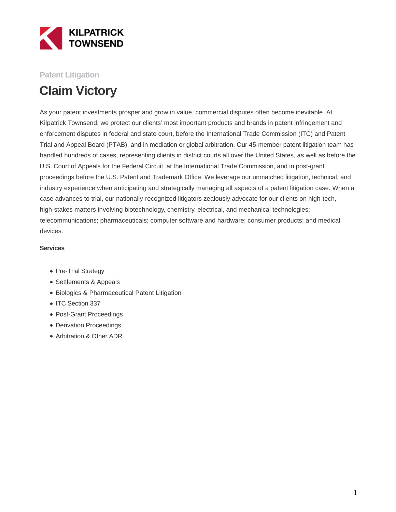

### **Patent Litigation**

# **Claim Victory**

As your patent investments prosper and grow in value, commercial disputes often become inevitable. At Kilpatrick Townsend, we protect our clients' most important products and brands in patent infringement and enforcement disputes in federal and state court, before the International Trade Commission (ITC) and Patent Trial and Appeal Board (PTAB), and in mediation or global arbitration. Our 45-member patent litigation team has handled hundreds of cases, representing clients in district courts all over the United States, as well as before the U.S. Court of Appeals for the Federal Circuit, at the International Trade Commission, and in post-grant proceedings before the U.S. Patent and Trademark Office. We leverage our unmatched litigation, technical, and industry experience when anticipating and strategically managing all aspects of a patent litigation case. When a case advances to trial, our nationally-recognized litigators zealously advocate for our clients on high-tech, high-stakes matters involving biotechnology, chemistry, electrical, and mechanical technologies; telecommunications; pharmaceuticals; computer software and hardware; consumer products; and medical devices.

#### **Services**

- Pre-Trial Strategy
- Settlements & Appeals
- Biologics & Pharmaceutical Patent Litigation
- ITC Section 337
- Post-Grant Proceedings
- Derivation Proceedings
- Arbitration & Other ADR